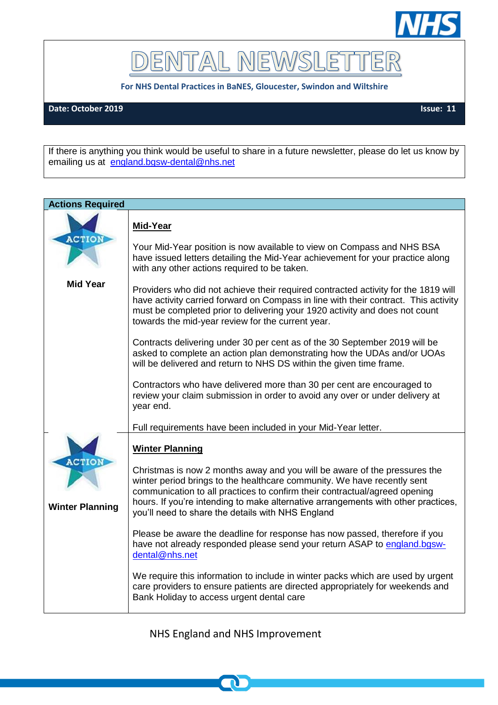

DENTAL NEWSLET TER

**For NHS Dental Practices in BaNES, Gloucester, Swindon and Wiltshire**

**Date: October 2019 Issue: 11**

If there is anything you think would be useful to share in a future newsletter, please do let us know by emailing us at [england.bgsw-dental@nhs.net](mailto:england.bgsw-dental@nhs.net)

| <b>Actions Required</b>                 |                                                                                                                                                                                                                                                                                                                                                                                                        |  |
|-----------------------------------------|--------------------------------------------------------------------------------------------------------------------------------------------------------------------------------------------------------------------------------------------------------------------------------------------------------------------------------------------------------------------------------------------------------|--|
|                                         | Mid-Year                                                                                                                                                                                                                                                                                                                                                                                               |  |
| <b>ACTION</b>                           | Your Mid-Year position is now available to view on Compass and NHS BSA<br>have issued letters detailing the Mid-Year achievement for your practice along<br>with any other actions required to be taken.                                                                                                                                                                                               |  |
| <b>Mid Year</b>                         | Providers who did not achieve their required contracted activity for the 1819 will<br>have activity carried forward on Compass in line with their contract. This activity<br>must be completed prior to delivering your 1920 activity and does not count<br>towards the mid-year review for the current year.                                                                                          |  |
|                                         | Contracts delivering under 30 per cent as of the 30 September 2019 will be<br>asked to complete an action plan demonstrating how the UDAs and/or UOAs<br>will be delivered and return to NHS DS within the given time frame.                                                                                                                                                                           |  |
|                                         | Contractors who have delivered more than 30 per cent are encouraged to<br>review your claim submission in order to avoid any over or under delivery at<br>year end.                                                                                                                                                                                                                                    |  |
|                                         | Full requirements have been included in your Mid-Year letter.                                                                                                                                                                                                                                                                                                                                          |  |
| <b>ACTIOI</b><br><b>Winter Planning</b> | <b>Winter Planning</b><br>Christmas is now 2 months away and you will be aware of the pressures the<br>winter period brings to the healthcare community. We have recently sent<br>communication to all practices to confirm their contractual/agreed opening<br>hours. If you're intending to make alternative arrangements with other practices,<br>you'll need to share the details with NHS England |  |
|                                         | Please be aware the deadline for response has now passed, therefore if you<br>have not already responded please send your return ASAP to england.bgsw-<br>dental@nhs.net                                                                                                                                                                                                                               |  |
|                                         | We require this information to include in winter packs which are used by urgent<br>care providers to ensure patients are directed appropriately for weekends and<br>Bank Holiday to access urgent dental care                                                                                                                                                                                          |  |

NHS England and NHS Improvement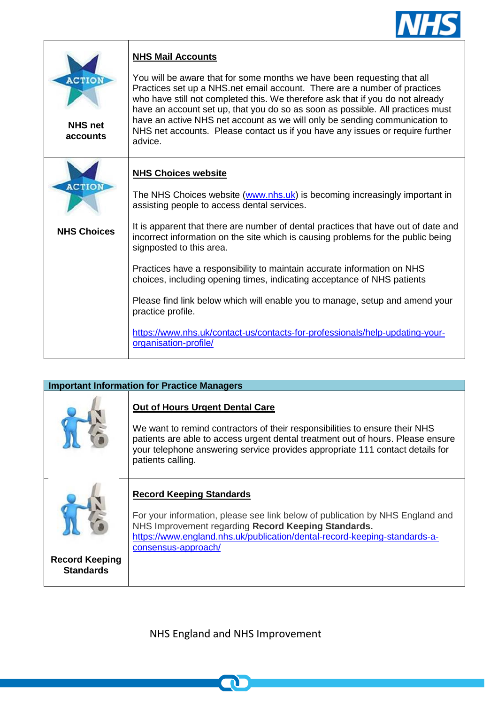

| <b>ACTION</b><br><b>NHS net</b><br>accounts | <b>NHS Mail Accounts</b><br>You will be aware that for some months we have been requesting that all<br>Practices set up a NHS.net email account. There are a number of practices<br>who have still not completed this. We therefore ask that if you do not already<br>have an account set up, that you do so as soon as possible. All practices must<br>have an active NHS net account as we will only be sending communication to<br>NHS net accounts. Please contact us if you have any issues or require further<br>advice. |
|---------------------------------------------|--------------------------------------------------------------------------------------------------------------------------------------------------------------------------------------------------------------------------------------------------------------------------------------------------------------------------------------------------------------------------------------------------------------------------------------------------------------------------------------------------------------------------------|
| <b>ACTION</b><br><b>NHS Choices</b>         | <b>NHS Choices website</b><br>The NHS Choices website (www.nhs.uk) is becoming increasingly important in<br>assisting people to access dental services.<br>It is apparent that there are number of dental practices that have out of date and<br>incorrect information on the site which is causing problems for the public being<br>signposted to this area.<br>Practices have a responsibility to maintain accurate information on NHS<br>choices, including opening times, indicating acceptance of NHS patients            |
|                                             | Please find link below which will enable you to manage, setup and amend your<br>practice profile.<br>https://www.nhs.uk/contact-us/contacts-for-professionals/help-updating-your-<br>organisation-profile/                                                                                                                                                                                                                                                                                                                     |

| <b>Important Information for Practice Managers</b> |                                                                                                                                                                                                                                                                                                                |  |
|----------------------------------------------------|----------------------------------------------------------------------------------------------------------------------------------------------------------------------------------------------------------------------------------------------------------------------------------------------------------------|--|
|                                                    | <b>Out of Hours Urgent Dental Care</b><br>We want to remind contractors of their responsibilities to ensure their NHS<br>patients are able to access urgent dental treatment out of hours. Please ensure<br>your telephone answering service provides appropriate 111 contact details for<br>patients calling. |  |
| <b>Record Keeping</b><br><b>Standards</b>          | <b>Record Keeping Standards</b><br>For your information, please see link below of publication by NHS England and<br>NHS Improvement regarding Record Keeping Standards.<br>https://www.england.nhs.uk/publication/dental-record-keeping-standards-a-<br>consensus-approach/                                    |  |

NHS England and NHS Improvement

 $\mathbf\Omega$